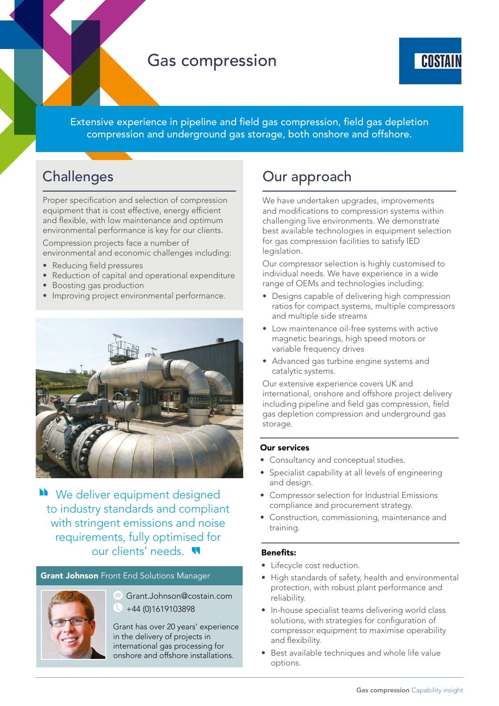# Gas compression



Extensive experience in pipeline and field gas compression, field gas depletion compression and underground gas storage, both onshore and offshore.

# **Challenges**

Proper specification and selection of compression equipment that is cost effective, energy efficient and flexible, with low maintenance and optimum environmental performance is key for our clients.

Compression projects face a number of environmental and economic challenges including:

- Reducing field pressures
- Reduction of capital and operational expenditure
- Boosting gas production
- Improving project environmental performance.



We deliver equipment designed to industry standards and compliant with stringent emissions and noise requirements, fully optimised for our clients' needs.

# **Grant Johnson** Front End Solutions Manager



Grant.Johnson@costain.com +44 (0)1619103898

Grant has over 20 years' experience in the delivery of projects in international gas processing for onshore and offshore installations.

# Our approach

We have undertaken upgrades, improvements and modifications to compression systems within challenging live environments. We demonstrate best available technologies in equipment selection for gas compression facilities to satisfy IED legislation.

Our compressor selection is highly customised to individual needs. We have experience in a wide range of OEMs and technologies including:

- Designs capable of delivering high compression ratios for compact systems, multiple compressors and multiple side streams
- Low maintenance oil-free systems with active magnetic bearings, high speed motors or variable frequency drives
- Advanced gas turbine engine systems and catalytic systems.

Our extensive experience covers UK and international, onshore and offshore project delivery including pipeline and field gas compression, field gas depletion compression and underground gas storage.

# Our services

- Consultancy and conceptual studies.
- Specialist capability at all levels of engineering and design.
- Compressor selection for Industrial Emissions compliance and procurement strategy.
- Construction, commissioning, maintenance and training.

# Benefits:

- Lifecycle cost reduction.
- High standards of safety, health and environmental protection, with robust plant performance and reliability.
- In-house specialist teams delivering world class solutions, with strategies for configuration of compressor equipment to maximise operability and flexibility.
- Best available techniques and whole life value options.